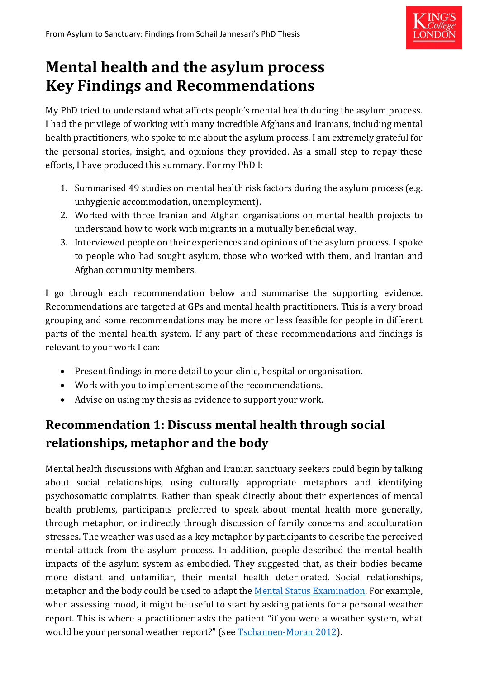

# **Mental health and the asylum process Key Findings and Recommendations**

My PhD tried to understand what affects people's mental health during the asylum process. I had the privilege of working with many incredible Afghans and Iranians, including mental health practitioners, who spoke to me about the asylum process. I am extremely grateful for the personal stories, insight, and opinions they provided. As a small step to repay these efforts, I have produced this summary. For my PhD I:

- 1. Summarised 49 studies on mental health risk factors during the asylum process (e.g. unhygienic accommodation, unemployment).
- 2. Worked with three Iranian and Afghan organisations on mental health projects to understand how to work with migrants in a mutually beneficial way.
- 3. Interviewed people on their experiences and opinions of the asylum process. I spoke to people who had sought asylum, those who worked with them, and Iranian and Afghan community members.

I go through each recommendation below and summarise the supporting evidence. Recommendations are targeted at GPs and mental health practitioners. This is a very broad grouping and some recommendations may be more or less feasible for people in different parts of the mental health system. If any part of these recommendations and findings is relevant to your work I can:

- Present findings in more detail to your clinic, hospital or organisation.
- Work with you to implement some of the recommendations.
- Advise on using my thesis as evidence to support your work.

# **Recommendation 1: Discuss mental health through social relationships, metaphor and the body**

Mental health discussions with Afghan and Iranian sanctuary seekers could begin by talking about social relationships, using culturally appropriate metaphors and identifying psychosomatic complaints. Rather than speak directly about their experiences of mental health problems, participants preferred to speak about mental health more generally, through metaphor, or indirectly through discussion of family concerns and acculturation stresses. The weather was used as a key metaphor by participants to describe the perceived mental attack from the asylum process. In addition, people described the mental health impacts of the asylum system as embodied. They suggested that, as their bodies became more distant and unfamiliar, their mental health deteriorated. Social relationships, metaphor and the body could be used to adapt the [Mental Status Examination.](https://www.brown.edu/Courses/BI_278/Other/Clerkship/Didactics/Readings/THE%20MENTAL%20STATUS%20EXAMINATION.pdf) For example, when assessing mood, it might be useful to start by asking patients for a personal weather report. This is where a practitioner asks the patient "if you were a weather system, what would be your personal weather report?" (see [Tschannen-Moran 2012\)](http://web.a.ebscohost.com/ehost/pdfviewer/pdfviewer?vid=0&sid=674d75a0-e4de-455a-9d01-a7e85acf207d%40sessionmgr4006).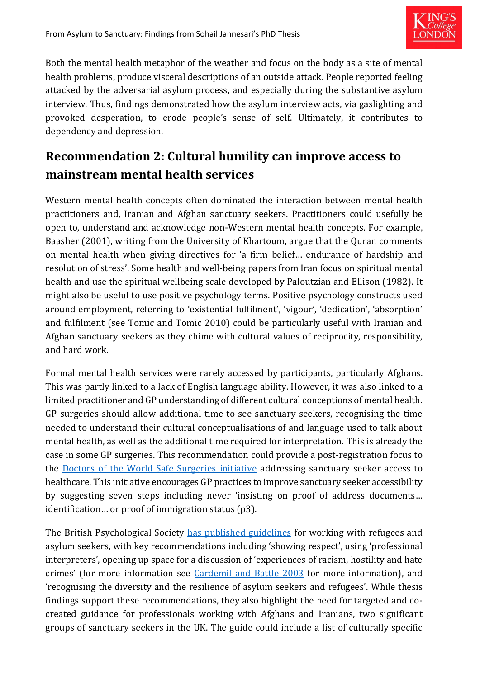

Both the mental health metaphor of the weather and focus on the body as a site of mental health problems, produce visceral descriptions of an outside attack. People reported feeling attacked by the adversarial asylum process, and especially during the substantive asylum interview. Thus, findings demonstrated how the asylum interview acts, via gaslighting and provoked desperation, to erode people's sense of self. Ultimately, it contributes to dependency and depression.

#### **Recommendation 2: Cultural humility can improve access to mainstream mental health services**

Western mental health concepts often dominated the interaction between mental health practitioners and, Iranian and Afghan sanctuary seekers. Practitioners could usefully be open to, understand and acknowledge non-Western mental health concepts. For example, Baasher (2001), writing from the University of Khartoum, argue that the Quran comments on mental health when giving directives for 'a firm belief… endurance of hardship and resolution of stress'. Some health and well-being papers from Iran focus on spiritual mental health and use the spiritual wellbeing scale developed by Paloutzian and Ellison (1982). It might also be useful to use positive psychology terms. Positive psychology constructs used around employment, referring to 'existential fulfilment', 'vigour', 'dedication', 'absorption' and fulfilment (see Tomic and Tomic 2010) could be particularly useful with Iranian and Afghan sanctuary seekers as they chime with cultural values of reciprocity, responsibility, and hard work.

Formal mental health services were rarely accessed by participants, particularly Afghans. This was partly linked to a lack of English language ability. However, it was also linked to a limited practitioner and GP understanding of different cultural conceptions of mental health. GP surgeries should allow additional time to see sanctuary seekers, recognising the time needed to understand their cultural conceptualisations of and language used to talk about mental health, as well as the additional time required for interpretation. This is already the case in some GP surgeries. This recommendation could provide a post-registration focus to the [Doctors of the World Safe Surgeries initiative](https://www.doctorsoftheworld.org.uk/what-we-stand-for/supporting-medics/safe-surgeries-initiative/) addressing sanctuary seeker access to healthcare. This initiative encourages GP practices to improve sanctuary seeker accessibility by suggesting seven steps including never 'insisting on proof of address documents… identification… or proof of immigration status (p3).

The British Psychological Society [has published guidelines](https://www.bps.org.uk/sites/bps.org.uk/files/Policy%20-%20Files/Guidelines%20for%20Psychologists%20Working%20With%20Refugees%20and%20Asylum%20Seekers%20-%20Summary_0.pdf) for working with refugees and asylum seekers, with key recommendations including 'showing respect', using 'professional interpreters', opening up space for a discussion of 'experiences of racism, hostility and hate crimes' (for more information see [Cardemil and Battle 2003](http://citeseerx.ist.psu.edu/viewdoc/download?doi=10.1.1.597.1573&rep=rep1&type=pdf) for more information), and 'recognising the diversity and the resilience of asylum seekers and refugees'. While thesis findings support these recommendations, they also highlight the need for targeted and cocreated guidance for professionals working with Afghans and Iranians, two significant groups of sanctuary seekers in the UK. The guide could include a list of culturally specific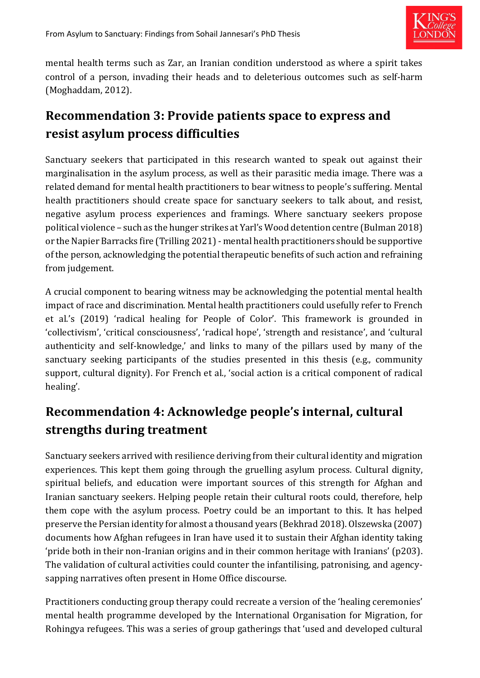

mental health terms such as Zar, an Iranian condition understood as where a spirit takes control of a person, invading their heads and to deleterious outcomes such as self-harm (Moghaddam, 2012).

#### **Recommendation 3: Provide patients space to express and resist asylum process difficulties**

Sanctuary seekers that participated in this research wanted to speak out against their marginalisation in the asylum process, as well as their parasitic media image. There was a related demand for mental health practitioners to bear witness to people's suffering. Mental health practitioners should create space for sanctuary seekers to talk about, and resist, negative asylum process experiences and framings. Where sanctuary seekers propose political violence – such as the hunger strikes at Yarl's Wood detention centre (Bulman 2018) or the Napier Barracks fire (Trilling 2021) - mental health practitioners should be supportive of the person, acknowledging the potential therapeutic benefits of such action and refraining from judgement.

A crucial component to bearing witness may be acknowledging the potential mental health impact of race and discrimination. Mental health practitioners could usefully refer to French et al.'s (2019) 'radical healing for People of Color'. This framework is grounded in 'collectivism', 'critical consciousness', 'radical hope', 'strength and resistance', and 'cultural authenticity and self-knowledge,' and links to many of the pillars used by many of the sanctuary seeking participants of the studies presented in this thesis (e.g., community support, cultural dignity). For French et al., 'social action is a critical component of radical healing'.

## **Recommendation 4: Acknowledge people's internal, cultural strengths during treatment**

Sanctuary seekers arrived with resilience deriving from their cultural identity and migration experiences. This kept them going through the gruelling asylum process. Cultural dignity, spiritual beliefs, and education were important sources of this strength for Afghan and Iranian sanctuary seekers. Helping people retain their cultural roots could, therefore, help them cope with the asylum process. Poetry could be an important to this. It has helped preserve the Persian identity for almost a thousand years (Bekhrad 2018). Olszewska (2007) documents how Afghan refugees in Iran have used it to sustain their Afghan identity taking 'pride both in their non-Iranian origins and in their common heritage with Iranians' (p203). The validation of cultural activities could counter the infantilising, patronising, and agencysapping narratives often present in Home Office discourse.

Practitioners conducting group therapy could recreate a version of the 'healing ceremonies' mental health programme developed by the International Organisation for Migration, for Rohingya refugees. This was a series of group gatherings that 'used and developed cultural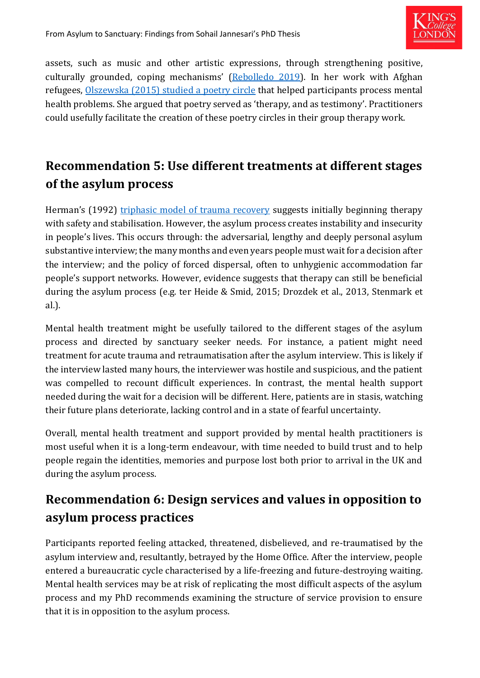

assets, such as music and other artistic expressions, through strengthening positive, culturally grounded, coping mechanisms' ([Rebolledo 2019\)](https://www.researchgate.net/publication/341762385_Rituals_and_healing_ceremonies_help_to_promote_psychosocial_wellbeing_by_increasing_sense_of_identity_and_community_in_Rohingya_refugees_in_Bangladesh). In her work with Afghan refugees, [Olszewska \(2015\) studied](https://www.academia.edu/24218204/The_Poets_Melancholy_Depression_structures_of_feeling_and_creativity_among_Afghan_refugees_in_Iran) a poetry circle that helped participants process mental health problems. She argued that poetry served as 'therapy, and as testimony'. Practitioners could usefully facilitate the creation of these poetry circles in their group therapy work.

## **Recommendation 5: Use different treatments at different stages of the asylum process**

Herman's (1992) [triphasic model of trauma recovery](https://www.jimhopper.com/topics/healing-resources/stages-of-recovery/) suggests initially beginning therapy with safety and stabilisation. However, the asylum process creates instability and insecurity in people's lives. This occurs through: the adversarial, lengthy and deeply personal asylum substantive interview; the many months and even years people must wait for a decision after the interview; and the policy of forced dispersal, often to unhygienic accommodation far people's support networks. However, evidence suggests that therapy can still be beneficial during the asylum process (e.g. ter Heide & Smid, 2015; Drozdek et al., 2013, Stenmark et al.).

Mental health treatment might be usefully tailored to the different stages of the asylum process and directed by sanctuary seeker needs. For instance, a patient might need treatment for acute trauma and retraumatisation after the asylum interview. This is likely if the interview lasted many hours, the interviewer was hostile and suspicious, and the patient was compelled to recount difficult experiences. In contrast, the mental health support needed during the wait for a decision will be different. Here, patients are in stasis, watching their future plans deteriorate, lacking control and in a state of fearful uncertainty.

Overall, mental health treatment and support provided by mental health practitioners is most useful when it is a long-term endeavour, with time needed to build trust and to help people regain the identities, memories and purpose lost both prior to arrival in the UK and during the asylum process.

## **Recommendation 6: Design services and values in opposition to asylum process practices**

Participants reported feeling attacked, threatened, disbelieved, and re-traumatised by the asylum interview and, resultantly, betrayed by the Home Office. After the interview, people entered a bureaucratic cycle characterised by a life-freezing and future-destroying waiting. Mental health services may be at risk of replicating the most difficult aspects of the asylum process and my PhD recommends examining the structure of service provision to ensure that it is in opposition to the asylum process.